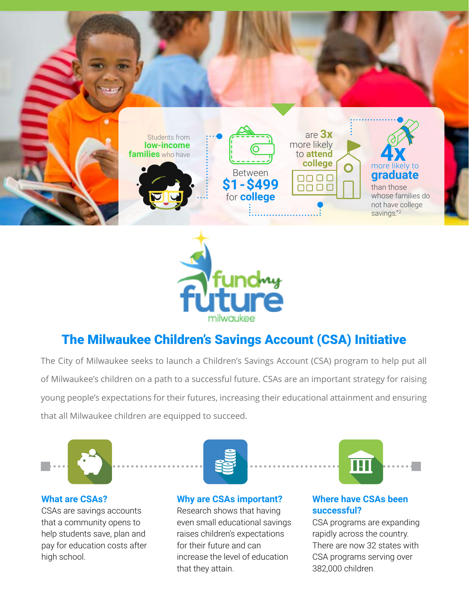



## The Milwaukee Children's Savings Account (CSA) Initiative

The City of Milwaukee seeks to launch a Children's Savings Account (CSA) program to help put all of Milwaukee's children on a path to a successful future. CSAs are an important strategy for raising young people's expectations for their futures, increasing their educational attainment and ensuring that all Milwaukee children are equipped to succeed.



## **What are CSAs?**

CSAs are savings accounts that a community opens to help students save, plan and pay for education costs after high school.



**Why are CSAs important?** 

Research shows that having even small educational savings raises children's expectations for their future and can increase the level of education that they attain.



## **Where have CSAs been successful?**

CSA programs are expanding rapidly across the country. There are now 32 states with CSA programs serving over 382,000 children.